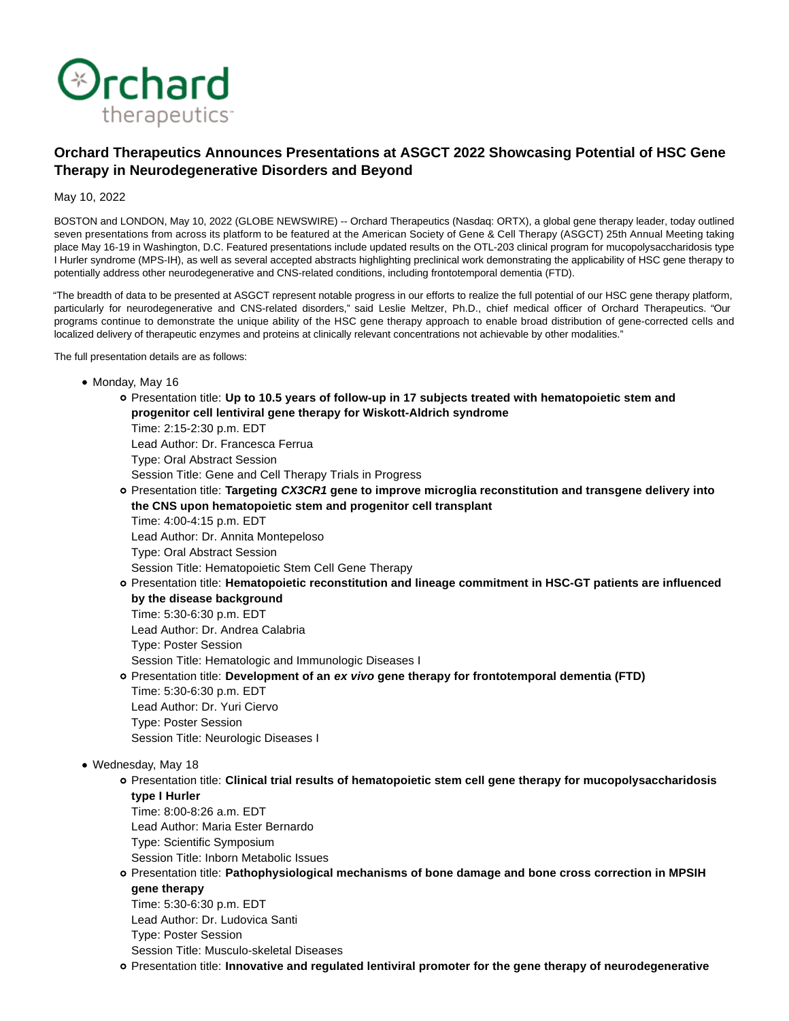

# **Orchard Therapeutics Announces Presentations at ASGCT 2022 Showcasing Potential of HSC Gene Therapy in Neurodegenerative Disorders and Beyond**

May 10, 2022

BOSTON and LONDON, May 10, 2022 (GLOBE NEWSWIRE) -- Orchard Therapeutics (Nasdaq: ORTX), a global gene therapy leader, today outlined seven presentations from across its platform to be featured at the American Society of Gene & Cell Therapy (ASGCT) 25th Annual Meeting taking place May 16-19 in Washington, D.C. Featured presentations include updated results on the OTL-203 clinical program for mucopolysaccharidosis type I Hurler syndrome (MPS-IH), as well as several accepted abstracts highlighting preclinical work demonstrating the applicability of HSC gene therapy to potentially address other neurodegenerative and CNS-related conditions, including frontotemporal dementia (FTD).

"The breadth of data to be presented at ASGCT represent notable progress in our efforts to realize the full potential of our HSC gene therapy platform, particularly for neurodegenerative and CNS-related disorders," said Leslie Meltzer, Ph.D., chief medical officer of Orchard Therapeutics. "Our programs continue to demonstrate the unique ability of the HSC gene therapy approach to enable broad distribution of gene-corrected cells and localized delivery of therapeutic enzymes and proteins at clinically relevant concentrations not achievable by other modalities."

The full presentation details are as follows:

- Monday, May 16
	- Presentation title: **Up to 10.5 years of follow-up in 17 subjects treated with hematopoietic stem and progenitor cell lentiviral gene therapy for Wiskott-Aldrich syndrome**

Time: 2:15-2:30 p.m. EDT Lead Author: Dr. Francesca Ferrua Type: Oral Abstract Session Session Title: Gene and Cell Therapy Trials in Progress

Presentation title: **Targeting CX3CR1 gene to improve microglia reconstitution and transgene delivery into the CNS upon hematopoietic stem and progenitor cell transplant**

Time: 4:00-4:15 p.m. EDT Lead Author: Dr. Annita Montepeloso Type: Oral Abstract Session

Session Title: Hematopoietic Stem Cell Gene Therapy

Presentation title: **Hematopoietic reconstitution and lineage commitment in HSC-GT patients are influenced by the disease background**

Time: 5:30-6:30 p.m. EDT Lead Author: Dr. Andrea Calabria Type: Poster Session Session Title: Hematologic and Immunologic Diseases I Presentation title: **Development of an ex vivo gene therapy for frontotemporal dementia (FTD)**

Time: 5:30-6:30 p.m. EDT Lead Author: Dr. Yuri Ciervo Type: Poster Session Session Title: Neurologic Diseases I

# Wednesday, May 18

Presentation title: **Clinical trial results of hematopoietic stem cell gene therapy for mucopolysaccharidosis type I Hurler**

- Time: 8:00-8:26 a.m. EDT
- Lead Author: Maria Ester Bernardo
- Type: Scientific Symposium

Session Title: Inborn Metabolic Issues

Presentation title: **Pathophysiological mechanisms of bone damage and bone cross correction in MPSIH**

**gene therapy**

Time: 5:30-6:30 p.m. EDT Lead Author: Dr. Ludovica Santi Type: Poster Session Session Title: Musculo-skeletal Diseases

Presentation title: **Innovative and regulated lentiviral promoter for the gene therapy of neurodegenerative**